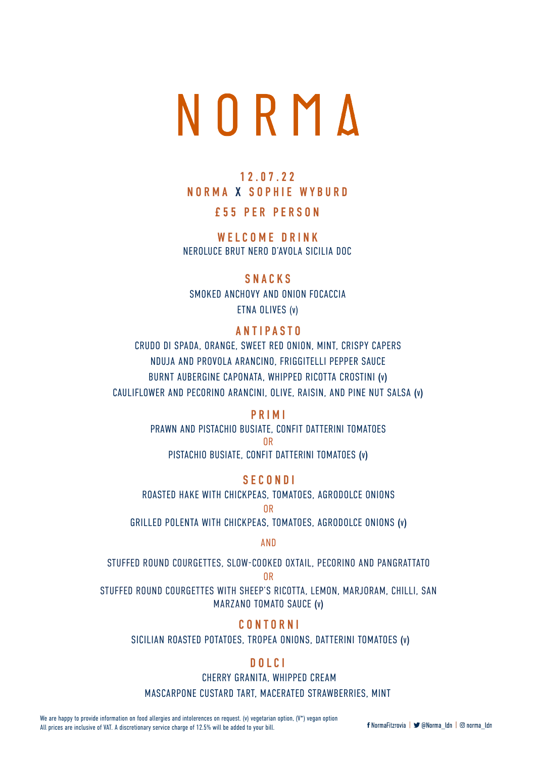

# 12.07.22 NORMA X SOPHIE WYBURD

## £55 PER PERSON

WELCOME DRINK NEROLUCE BRUT NERO D'AVOLA SICILIA DOC

#### SNACKS

SMOKED ANCHOVY AND ONION FOCACCIA ETNA OLIVES (v)

#### ANTIPASTO

CRUDO DI SPADA, ORANGE, SWEET RED ONION, MINT, CRISPY CAPERS NDUJA AND PROVOLA ARANCINO, FRIGGITELLI PEPPER SAUCE BURNT AUBERGINE CAPONATA, WHIPPED RICOTTA CROSTINI (v) CAULIFLOWER AND PECORINO ARANCINI, OLIVE, RAISIN, AND PINE NUT SALSA (v)

#### PRIMI

PRAWN AND PISTACHIO BUSIATE, CONFIT DATTERINI TOMATOES OR

PISTACHIO BUSIATE, CONFIT DATTERINI TOMATOES (v)

#### **SECONDI**

ROASTED HAKE WITH CHICKPEAS, TOMATOES, AGRODOLCE ONIONS

OR

GRILLED POLENTA WITH CHICKPEAS, TOMATOES, AGRODOLCE ONIONS (v)

AND

STUFFED ROUND COURGETTES, SLOW-COOKED OXTAIL, PECORINO AND PANGRATTATO OR

STUFFED ROUND COURGETTES WITH SHEEP'S RICOTTA, LEMON, MARJORAM, CHILLI, SAN MARZANO TOMATO SAUCE (v)

#### CONTORNI

SICILIAN ROASTED POTATOES, TROPEA ONIONS, DATTERINI TOMATOES (v)

#### DOLCI

CHERRY GRANITA, WHIPPED CREAM

MASCARPONE CUSTARD TART, MACERATED STRAWBERRIES, MINT